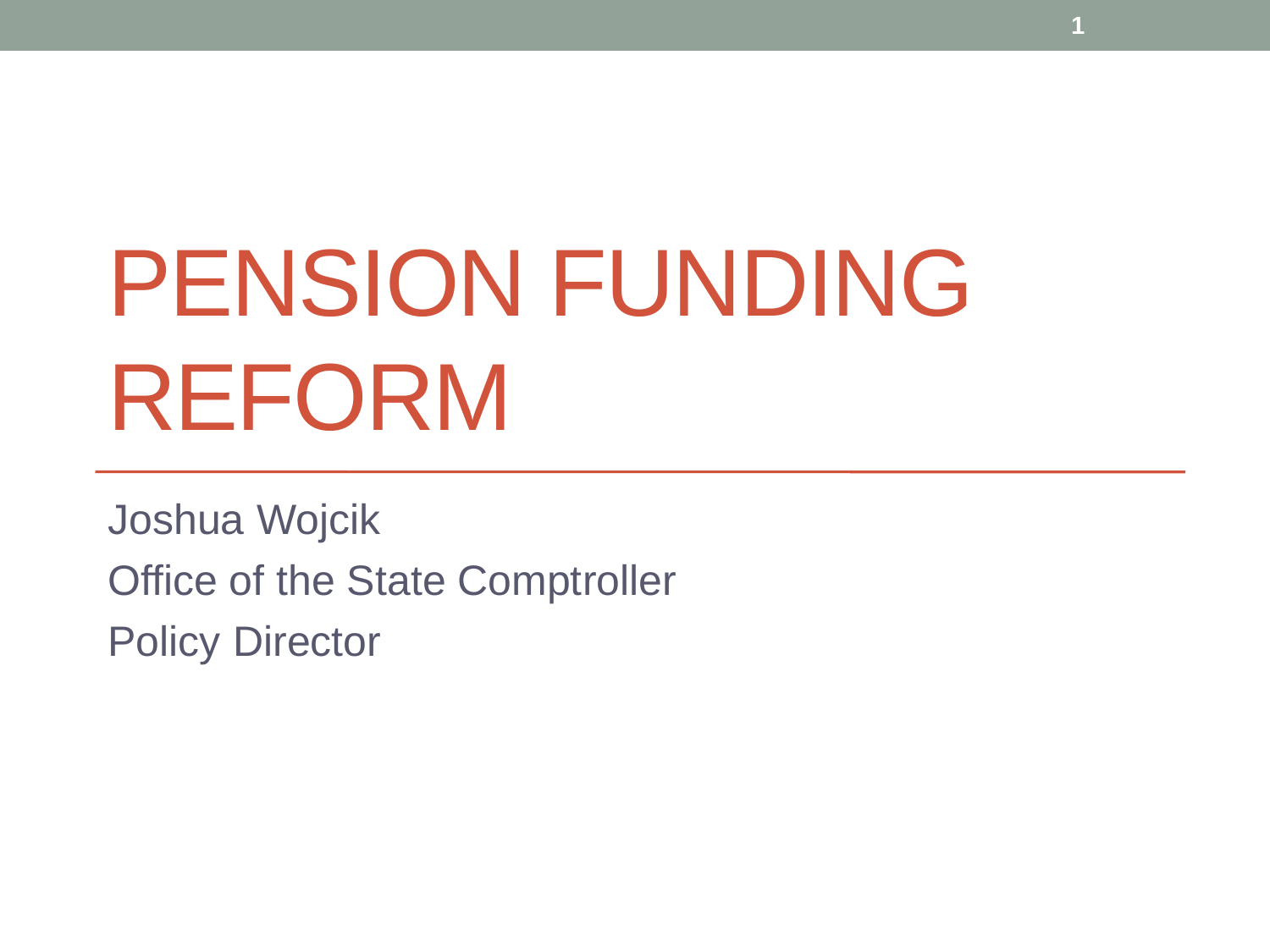# PENSION FUNDING REFORM

**1**

Joshua Wojcik Office of the State Comptroller Policy Director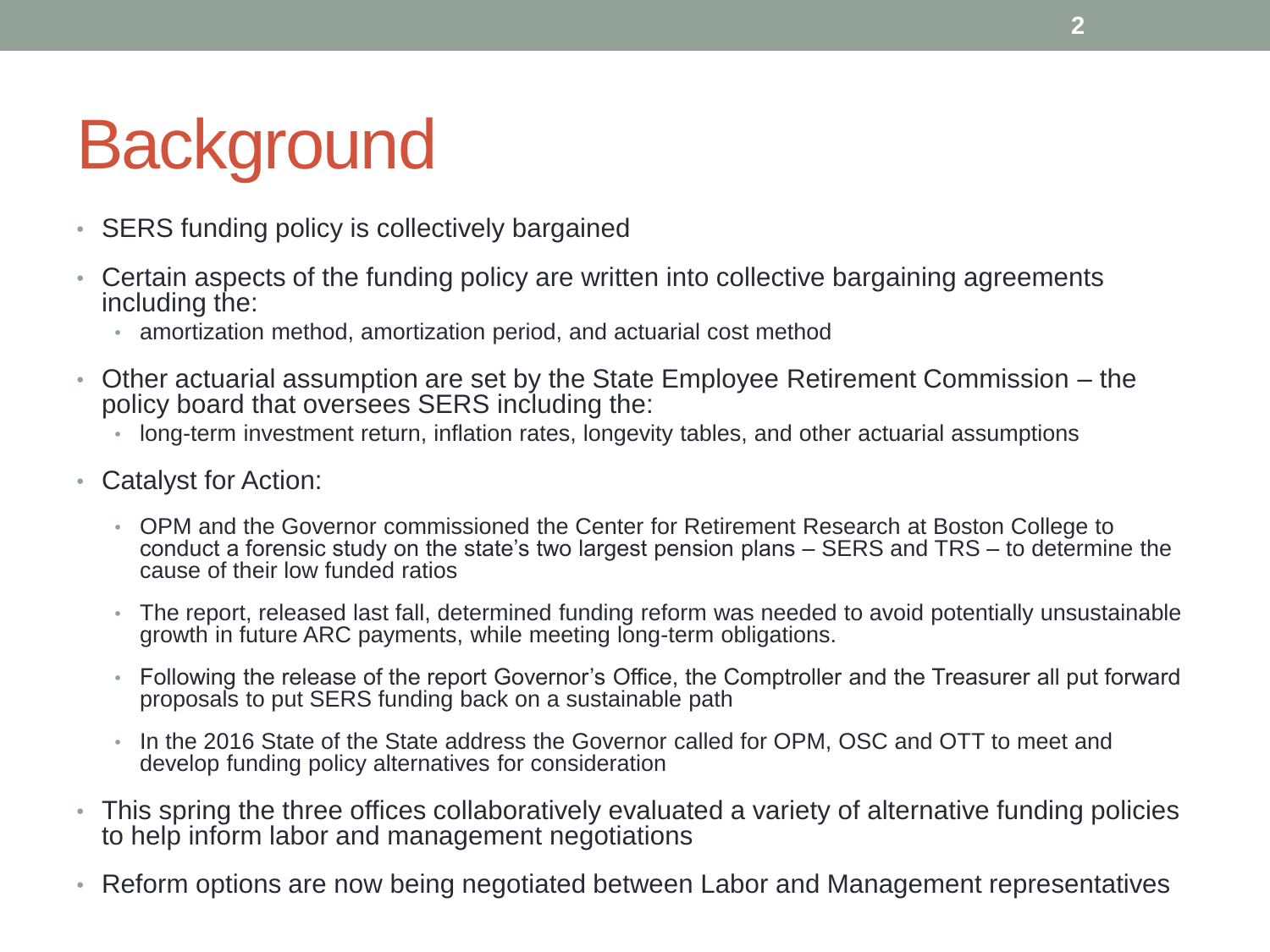# **Background**

- SERS funding policy is collectively bargained
- Certain aspects of the funding policy are written into collective bargaining agreements including the:
	- amortization method, amortization period, and actuarial cost method
- Other actuarial assumption are set by the State Employee Retirement Commission the policy board that oversees SERS including the:
	- long-term investment return, inflation rates, longevity tables, and other actuarial assumptions
- Catalyst for Action:
	- OPM and the Governor commissioned the Center for Retirement Research at Boston College to conduct a forensic study on the state's two largest pension plans – SERS and TRS – to determine the cause of their low funded ratios
	- The report, released last fall, determined funding reform was needed to avoid potentially unsustainable growth in future ARC payments, while meeting long-term obligations.
	- Following the release of the report Governor's Office, the Comptroller and the Treasurer all put forward proposals to put SERS funding back on a sustainable path
	- In the 2016 State of the State address the Governor called for OPM, OSC and OTT to meet and develop funding policy alternatives for consideration
- This spring the three offices collaboratively evaluated a variety of alternative funding policies to help inform labor and management negotiations
- Reform options are now being negotiated between Labor and Management representatives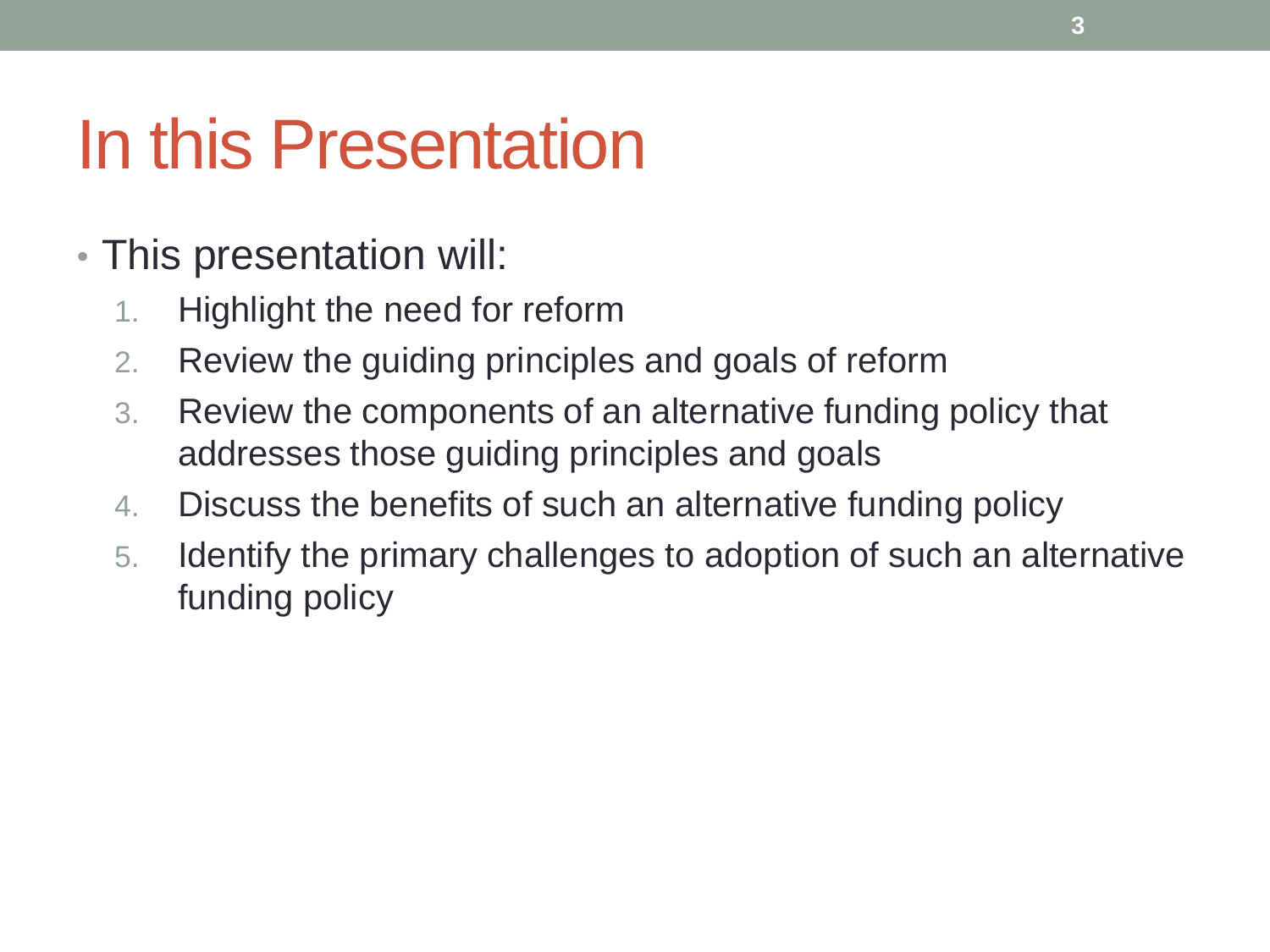### In this Presentation

- This presentation will:
	- 1. Highlight the need for reform
	- 2. Review the guiding principles and goals of reform
	- 3. Review the components of an alternative funding policy that addresses those guiding principles and goals
	- 4. Discuss the benefits of such an alternative funding policy
	- 5. Identify the primary challenges to adoption of such an alternative funding policy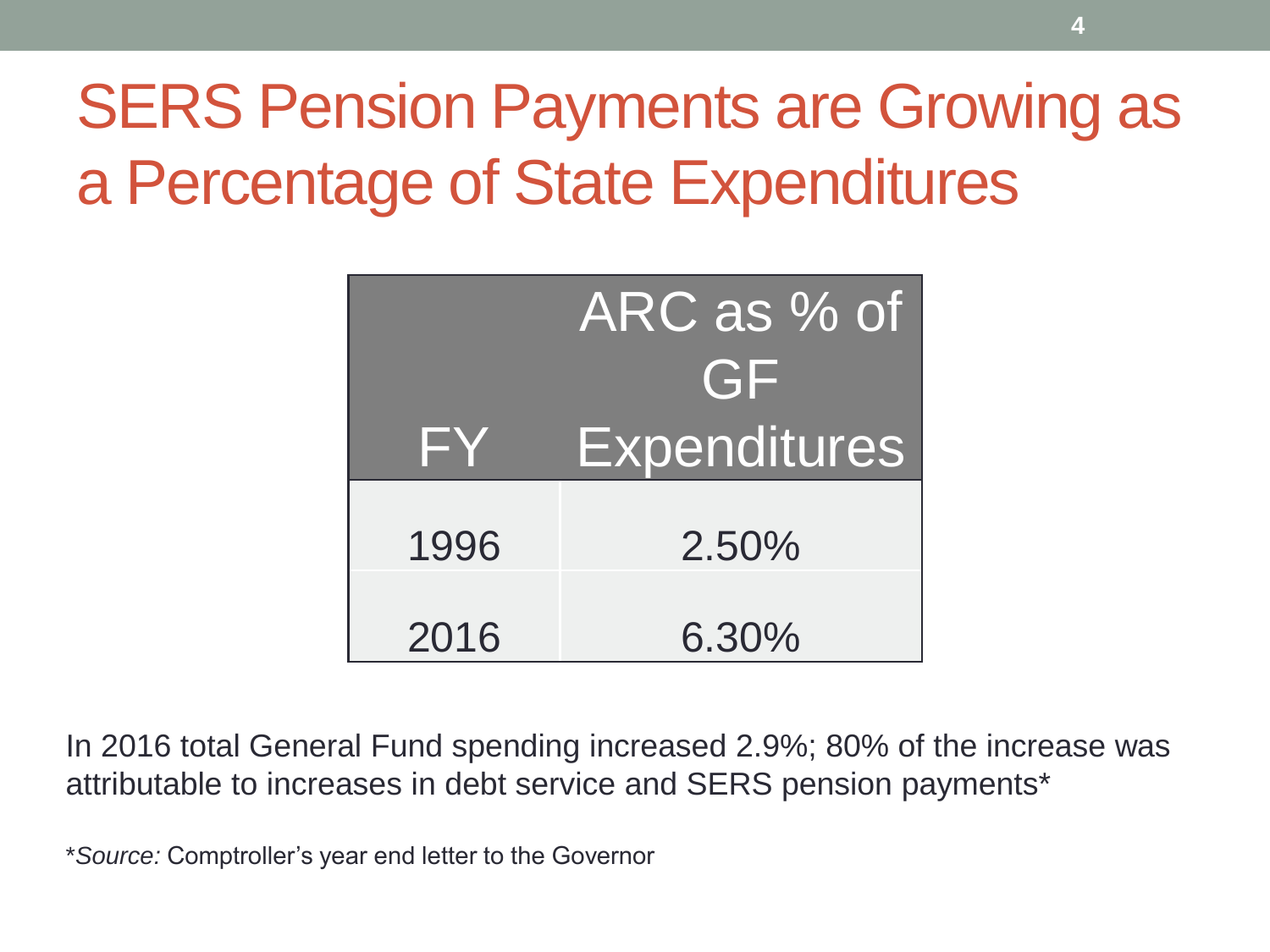### SERS Pension Payments are Growing as a Percentage of State Expenditures

|      | ARC as % of<br>GF   |  |  |
|------|---------------------|--|--|
| FY.  | <b>Expenditures</b> |  |  |
| 1996 | 2.50%               |  |  |
| 2016 | 6.30%               |  |  |

In 2016 total General Fund spending increased 2.9%; 80% of the increase was attributable to increases in debt service and SERS pension payments\*

\**Source:* Comptroller's year end letter to the Governor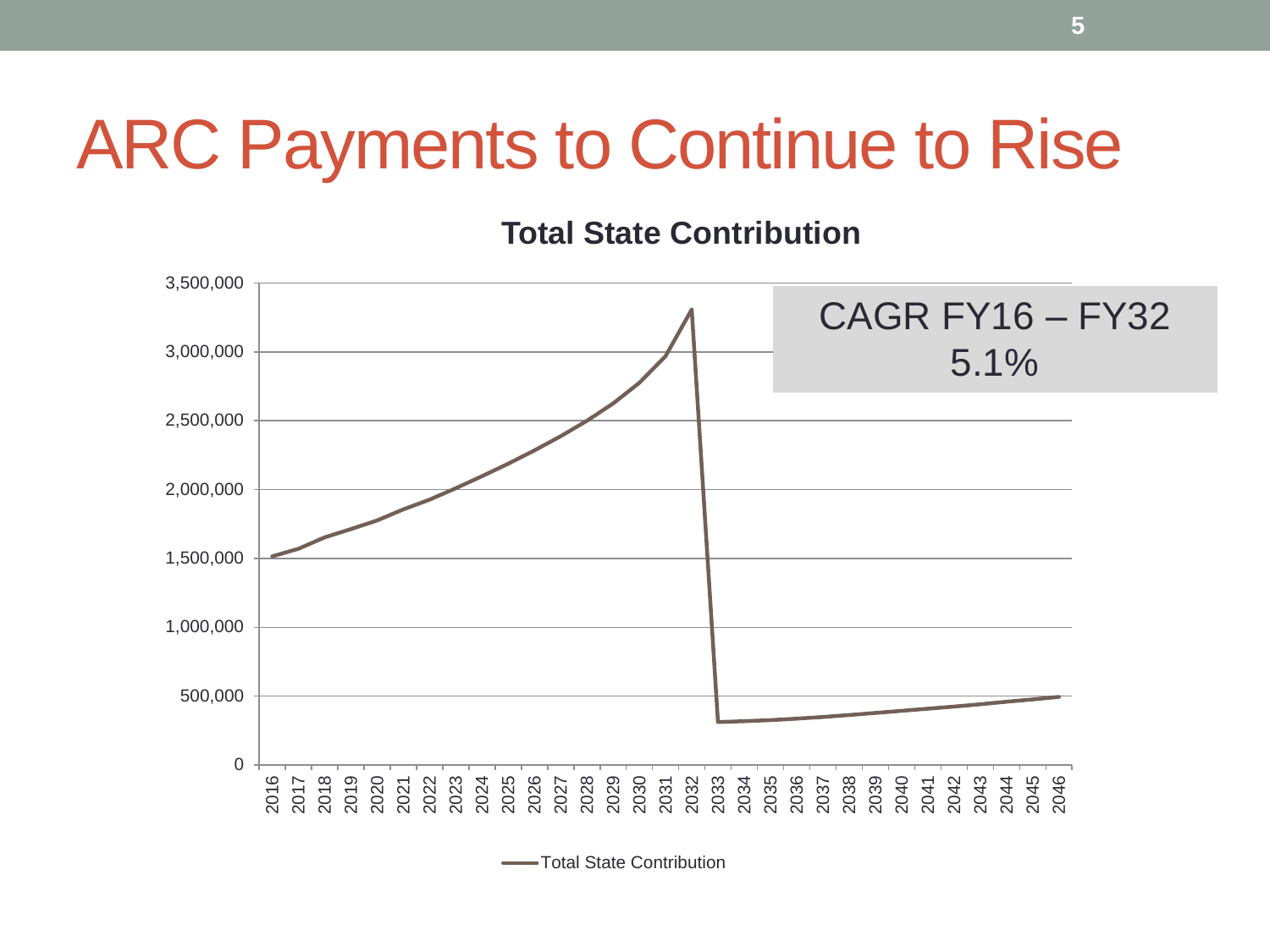### ARC Payments to Continue to Rise

**Total State Contribution** 



Total State Contribution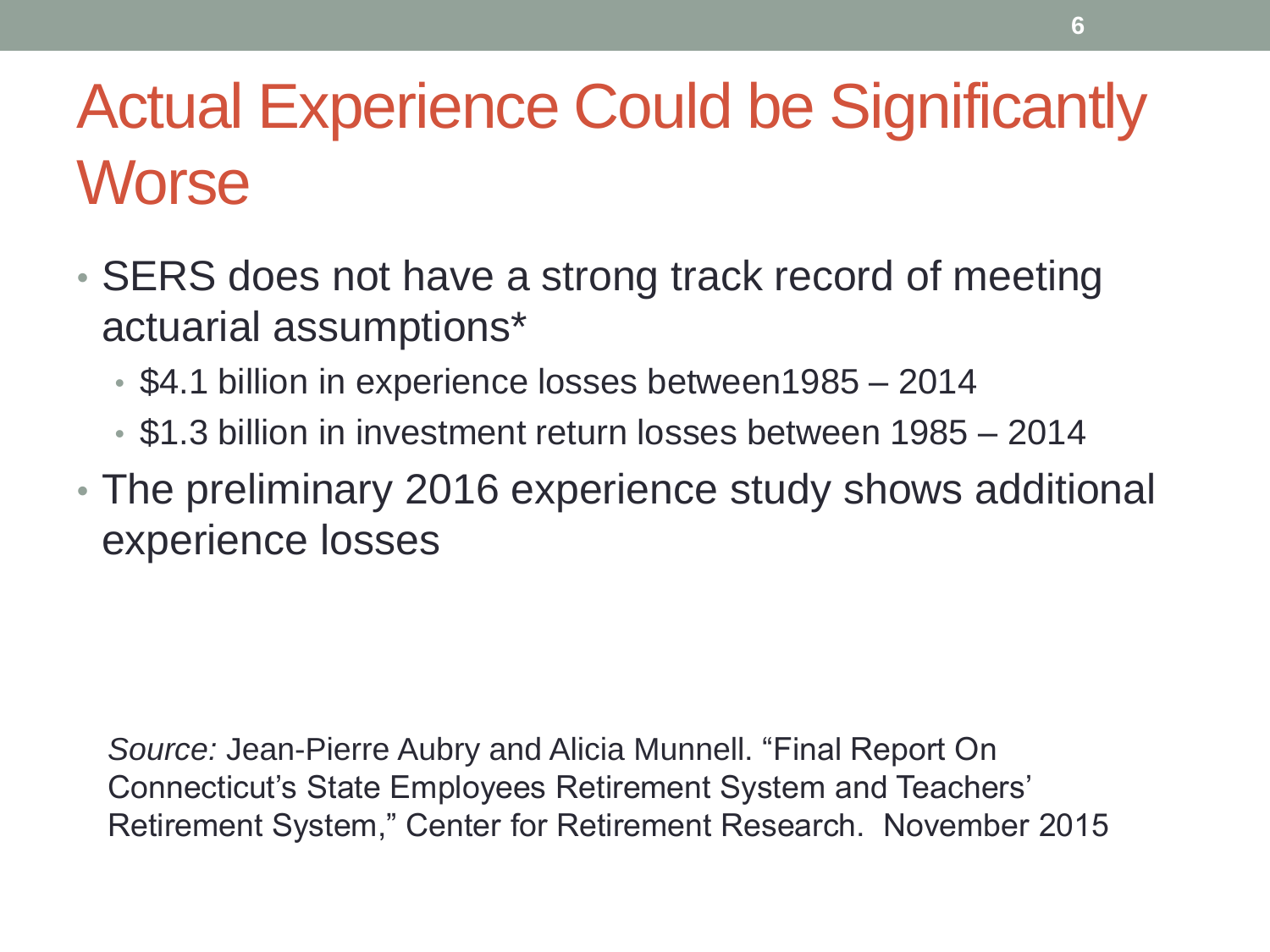### Actual Experience Could be Significantly **Worse**

- SERS does not have a strong track record of meeting actuarial assumptions\*
	- \$4.1 billion in experience losses between1985 2014
	- \$1.3 billion in investment return losses between 1985 2014
- The preliminary 2016 experience study shows additional experience losses

*Source:* Jean-Pierre Aubry and Alicia Munnell. "Final Report On Connecticut's State Employees Retirement System and Teachers' Retirement System," Center for Retirement Research. November 2015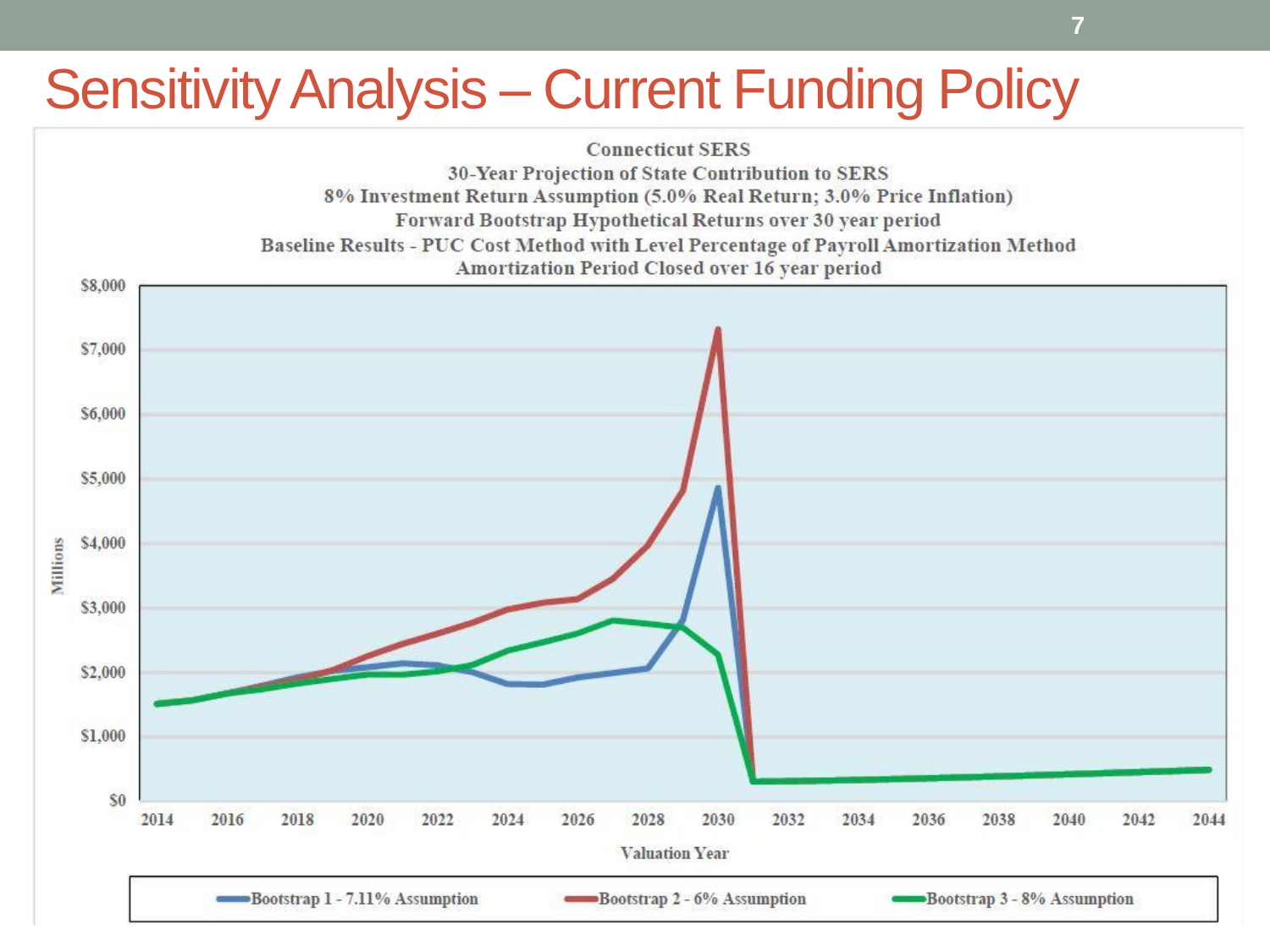### Sensitivity Analysis – Current Funding Policy

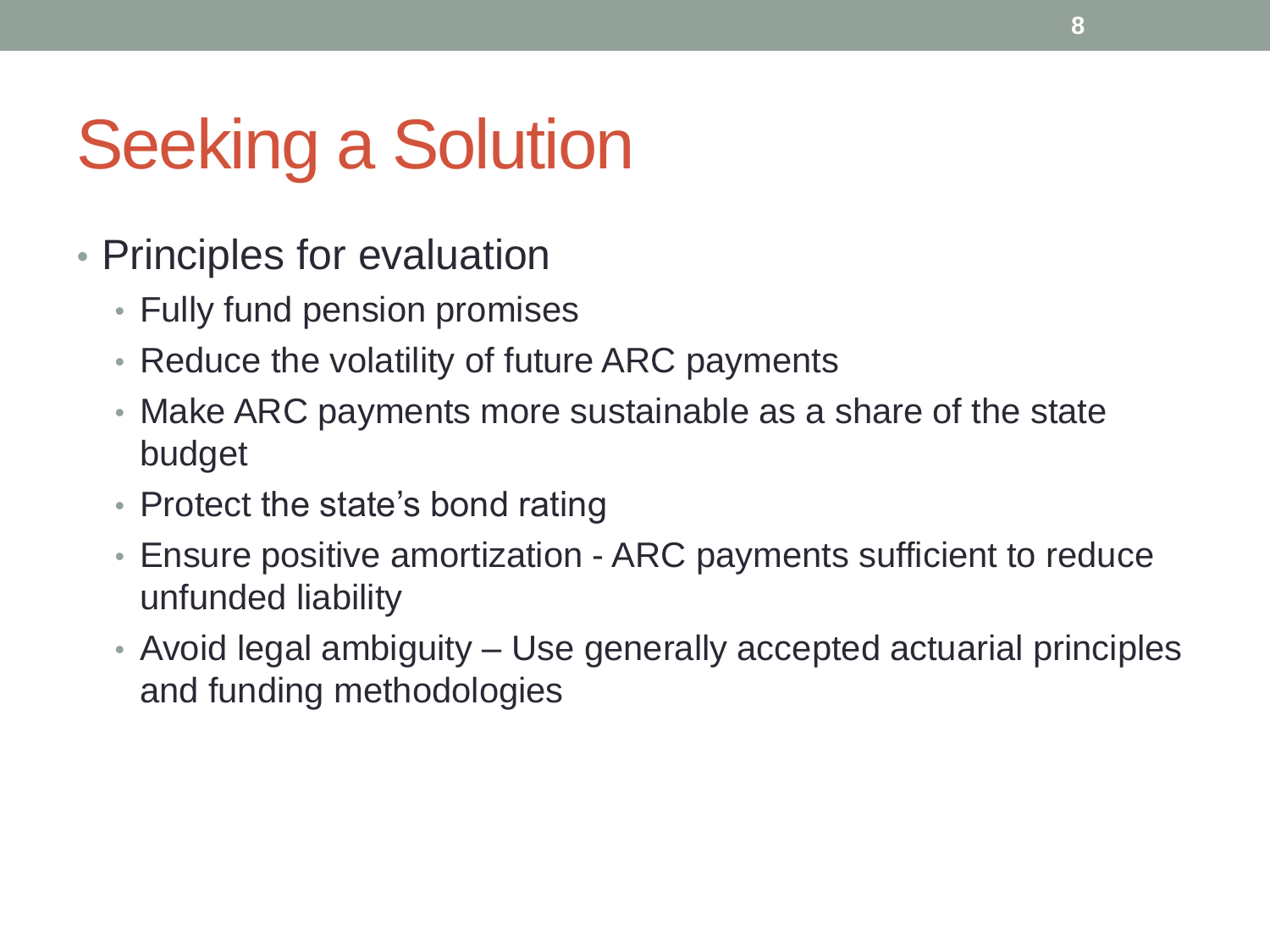# Seeking a Solution

- Principles for evaluation
	- Fully fund pension promises
	- Reduce the volatility of future ARC payments
	- Make ARC payments more sustainable as a share of the state budget
	- Protect the state's bond rating
	- Ensure positive amortization ARC payments sufficient to reduce unfunded liability
	- Avoid legal ambiguity Use generally accepted actuarial principles and funding methodologies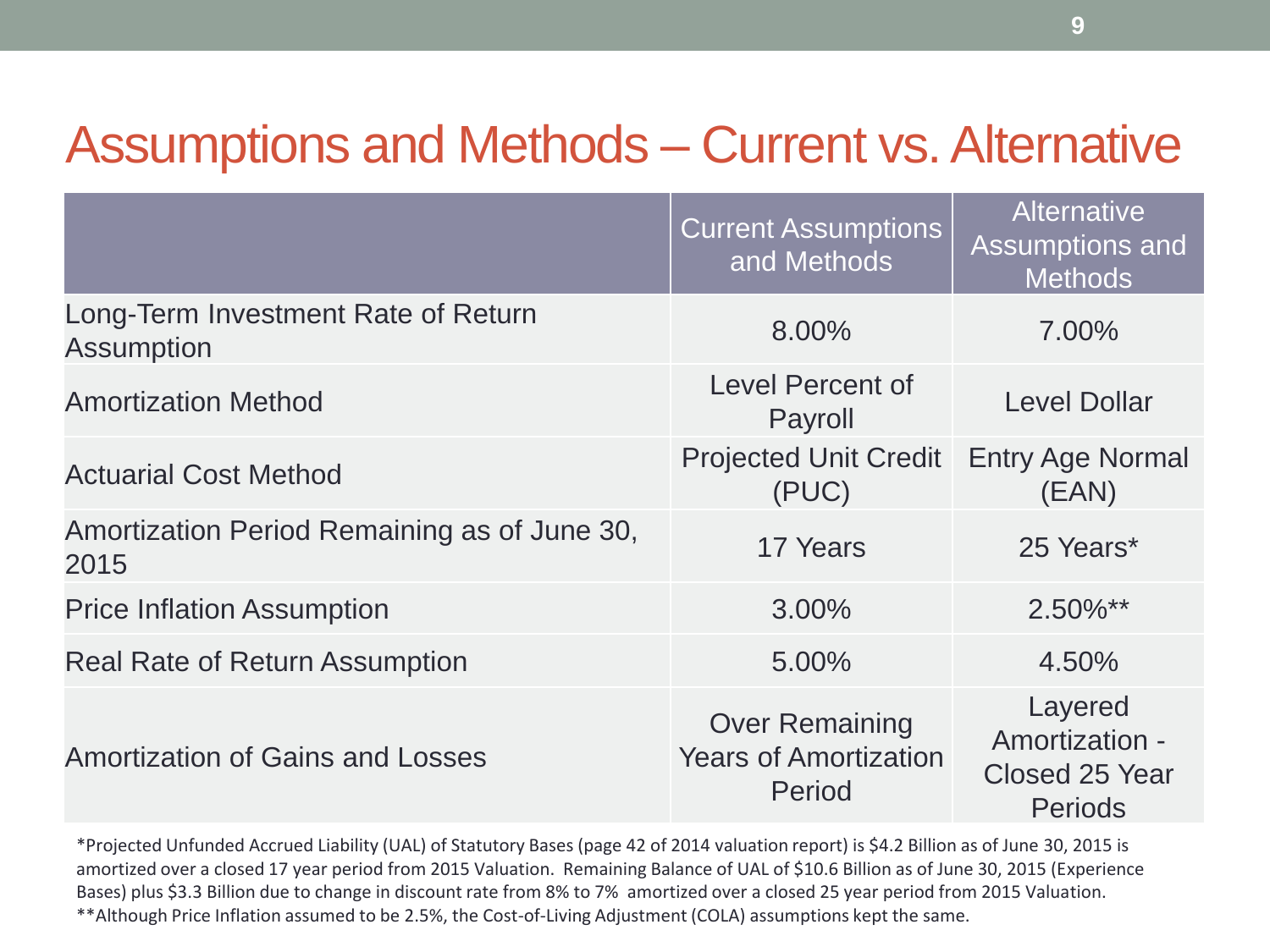#### Assumptions and Methods – Current vs. Alternative

|                                                          | <b>Current Assumptions</b><br>and Methods                       | <b>Alternative</b><br>Assumptions and<br><b>Methods</b>              |
|----------------------------------------------------------|-----------------------------------------------------------------|----------------------------------------------------------------------|
| Long-Term Investment Rate of Return<br><b>Assumption</b> | 8.00%                                                           | 7.00%                                                                |
| <b>Amortization Method</b>                               | Level Percent of<br>Payroll                                     | <b>Level Dollar</b>                                                  |
| <b>Actuarial Cost Method</b>                             | <b>Projected Unit Credit</b><br>(PUC)                           | <b>Entry Age Normal</b><br>(EAN)                                     |
| Amortization Period Remaining as of June 30,<br>2015     | 17 Years                                                        | 25 Years*                                                            |
| <b>Price Inflation Assumption</b>                        | 3.00%                                                           | $2.50\%**$                                                           |
| <b>Real Rate of Return Assumption</b>                    | 5.00%                                                           | 4.50%                                                                |
| Amortization of Gains and Losses                         | <b>Over Remaining</b><br><b>Years of Amortization</b><br>Period | Layered<br>Amortization -<br><b>Closed 25 Year</b><br><b>Periods</b> |

\*Projected Unfunded Accrued Liability (UAL) of Statutory Bases (page 42 of 2014 valuation report) is \$4.2 Billion as of June 30, 2015 is amortized over a closed 17 year period from 2015 Valuation. Remaining Balance of UAL of \$10.6 Billion as of June 30, 2015 (Experience Bases) plus \$3.3 Billion due to change in discount rate from 8% to 7% amortized over a closed 25 year period from 2015 Valuation. \*\*Although Price Inflation assumed to be 2.5%, the Cost-of-Living Adjustment (COLA) assumptions kept the same.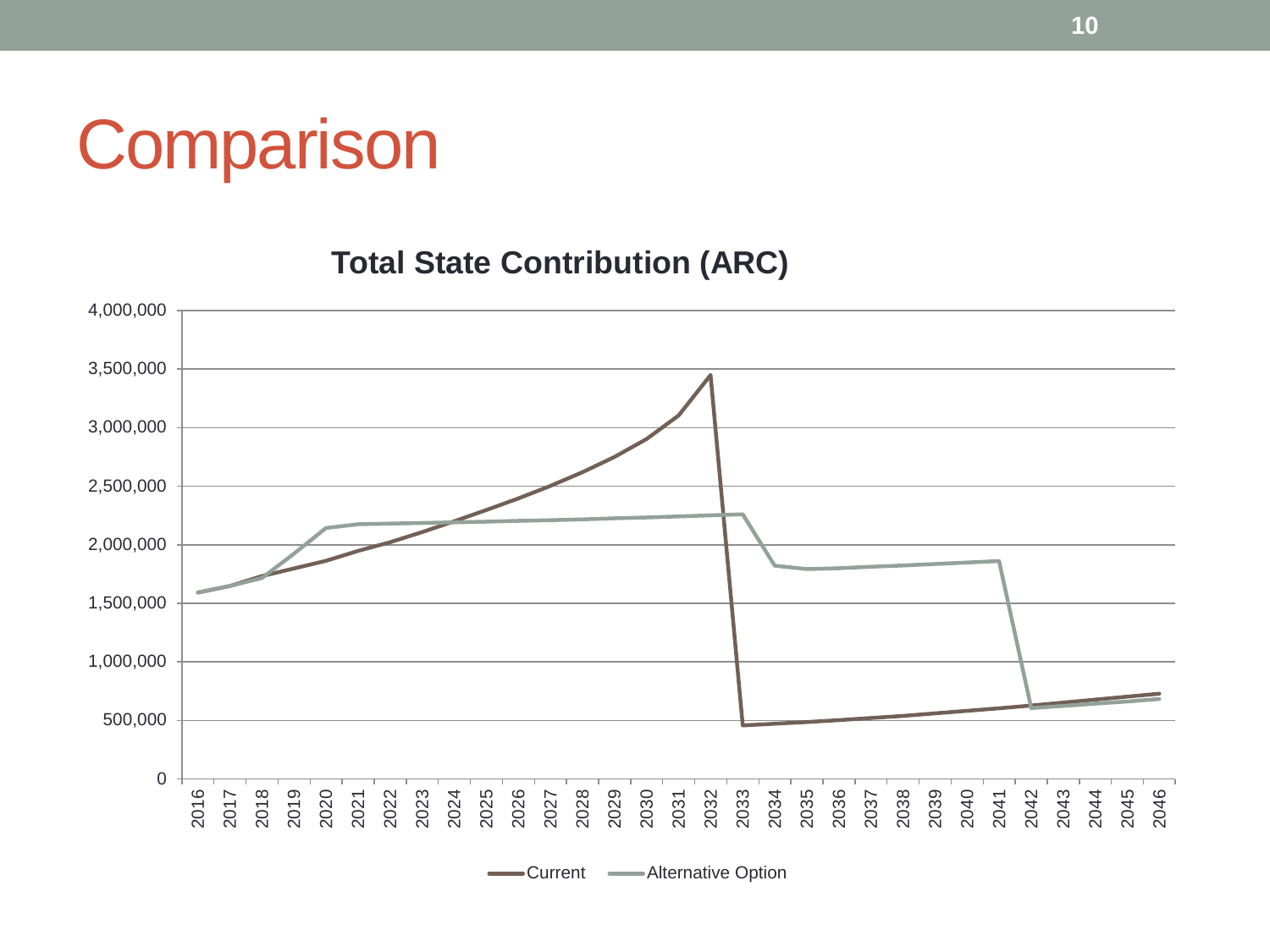### **Comparison**

**Total State Contribution (ARC)** 



Current - Alternative Option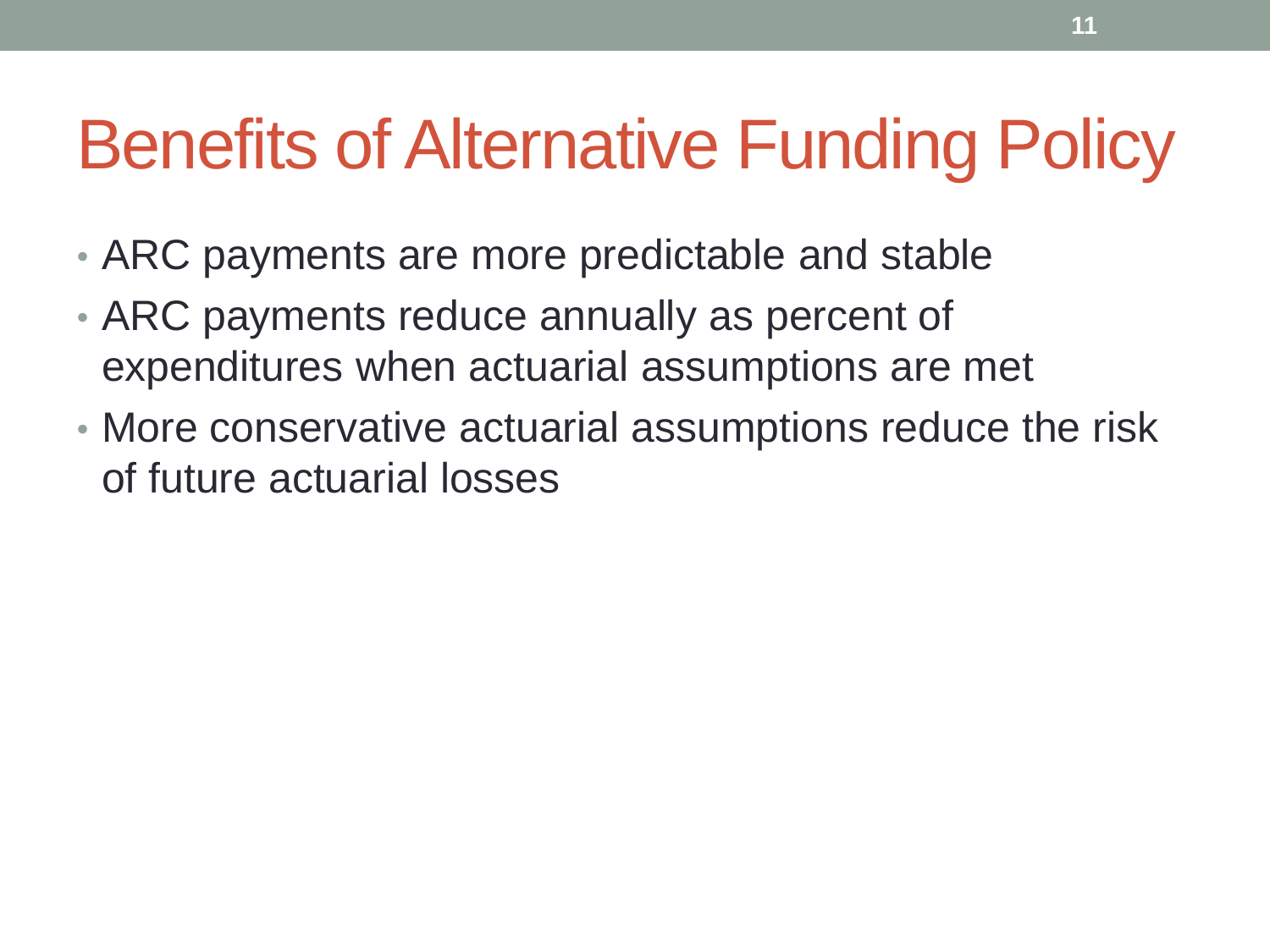## Benefits of Alternative Funding Policy

- ARC payments are more predictable and stable
- ARC payments reduce annually as percent of expenditures when actuarial assumptions are met
- More conservative actuarial assumptions reduce the risk of future actuarial losses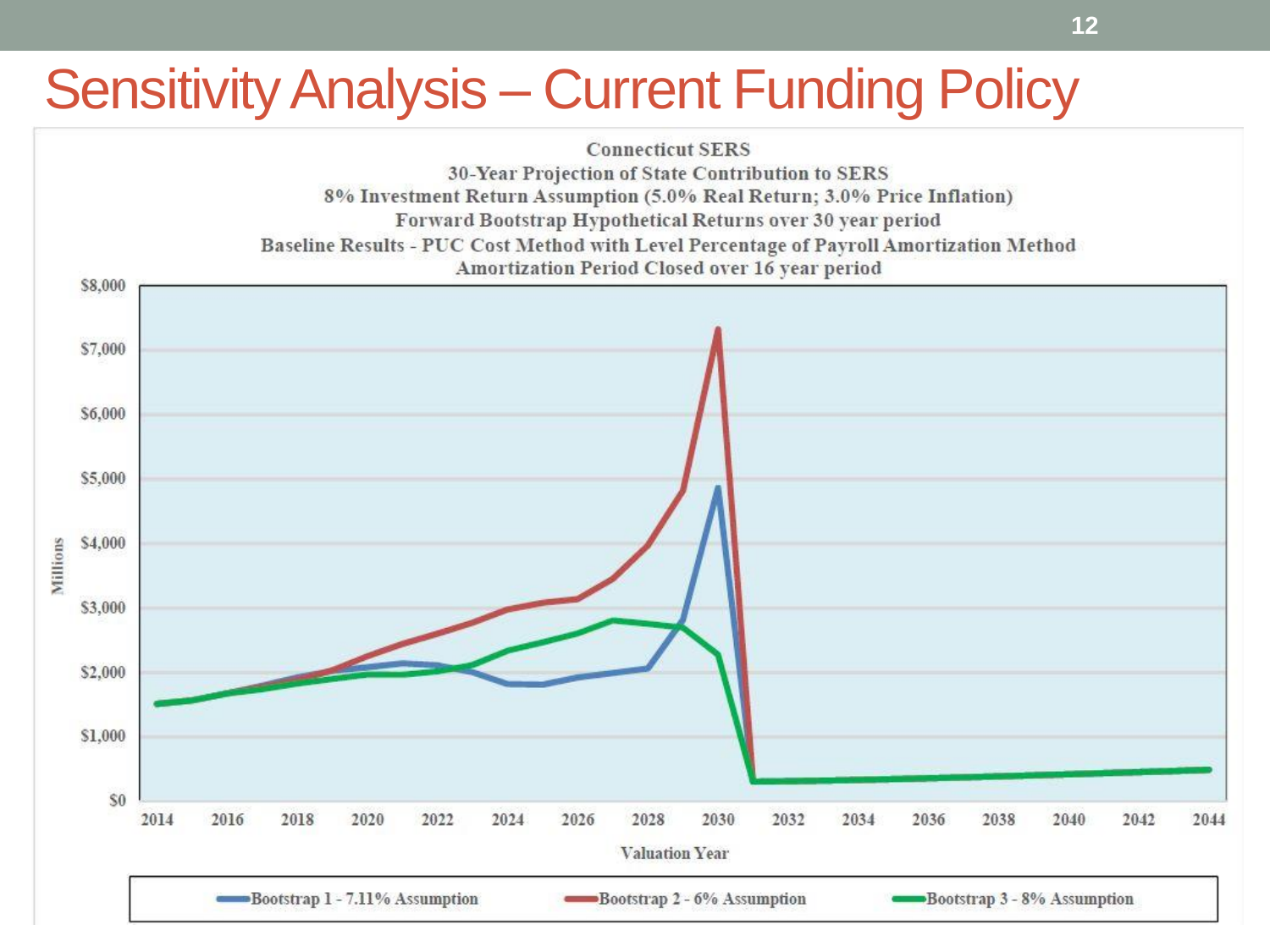### Sensitivity Analysis – Current Funding Policy

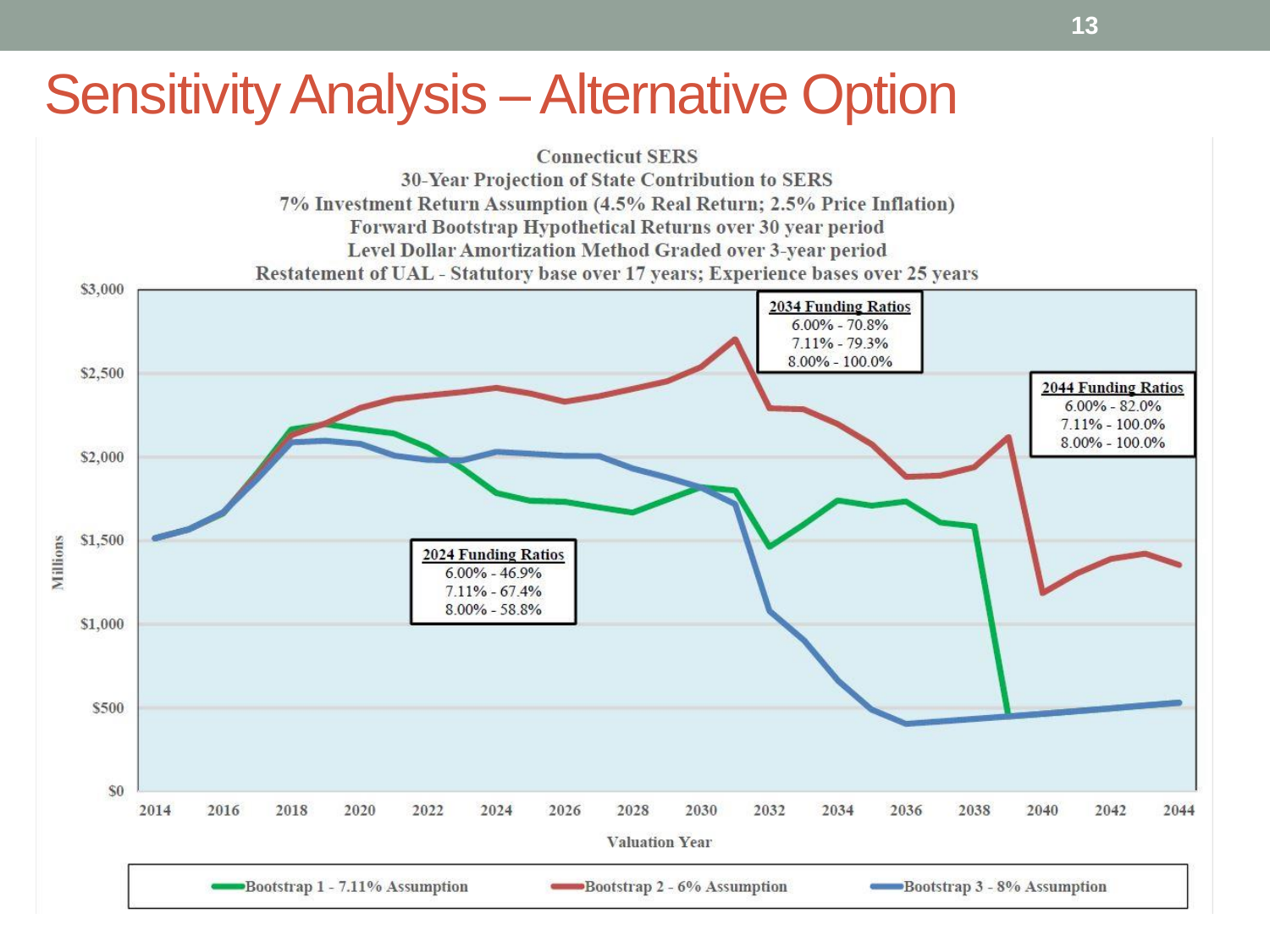### **Sensitivity Analysis – Alternative Option**

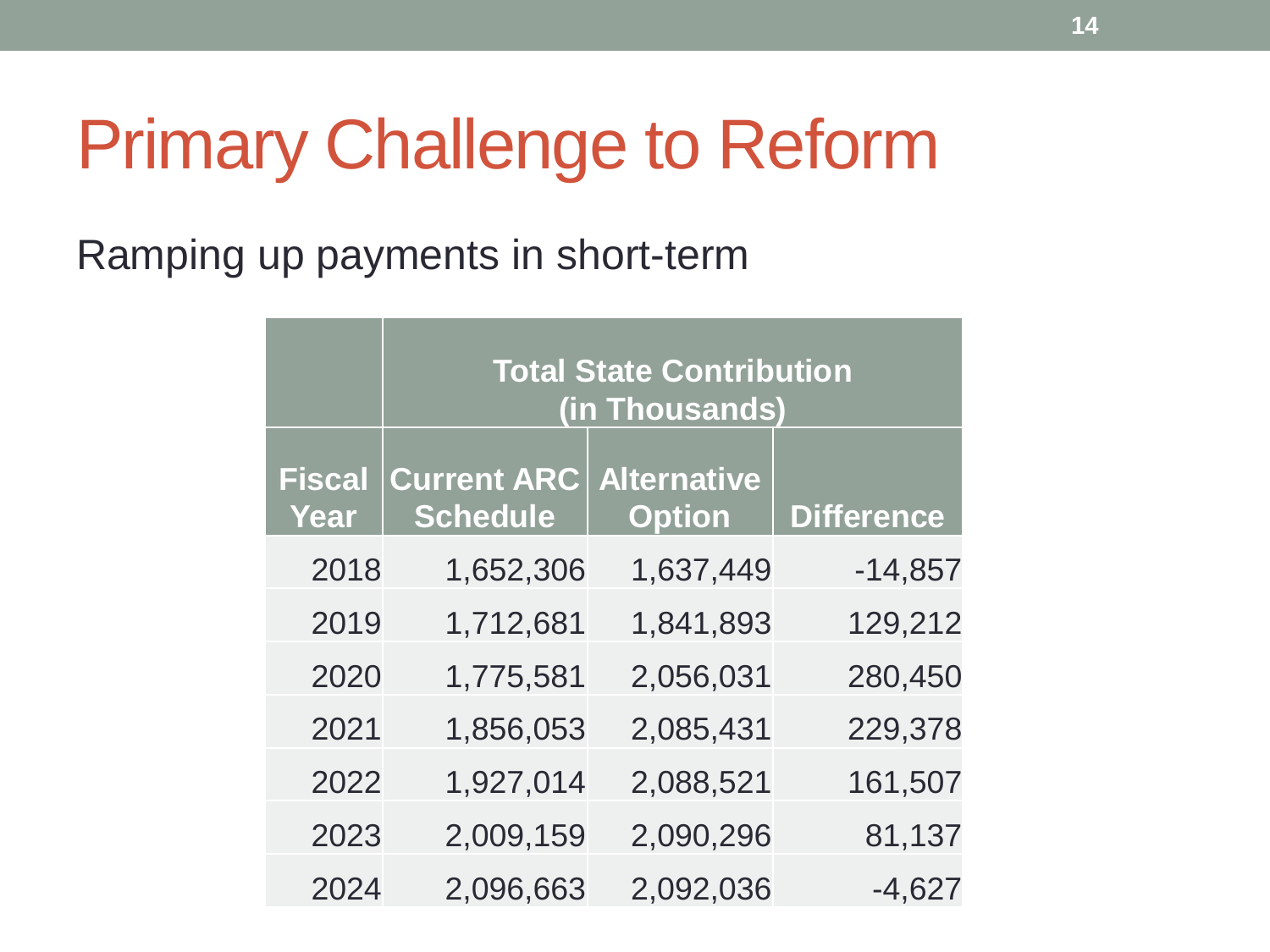### Primary Challenge to Reform

Ramping up payments in short-term

|                       | <b>Total State Contribution</b><br>(in Thousands) |               |                   |  |  |
|-----------------------|---------------------------------------------------|---------------|-------------------|--|--|
| <b>Fiscal</b><br>Year | <b>Current ARC Alternative</b><br><b>Schedule</b> | <b>Option</b> | <b>Difference</b> |  |  |
| 2018                  | 1,652,306                                         | 1,637,449     | $-14,857$         |  |  |
| 2019                  | 1,712,681                                         | 1,841,893     | 129,212           |  |  |
| 2020                  | 1,775,581                                         | 2,056,031     | 280,450           |  |  |
| 2021                  | 1,856,053                                         | 2,085,431     | 229,378           |  |  |
| 2022                  | 1,927,014                                         | 2,088,521     | 161,507           |  |  |
| 2023                  | 2,009,159                                         | 2,090,296     | 81,137            |  |  |
| 2024                  | 2,096,663                                         | 2,092,036     | $-4,627$          |  |  |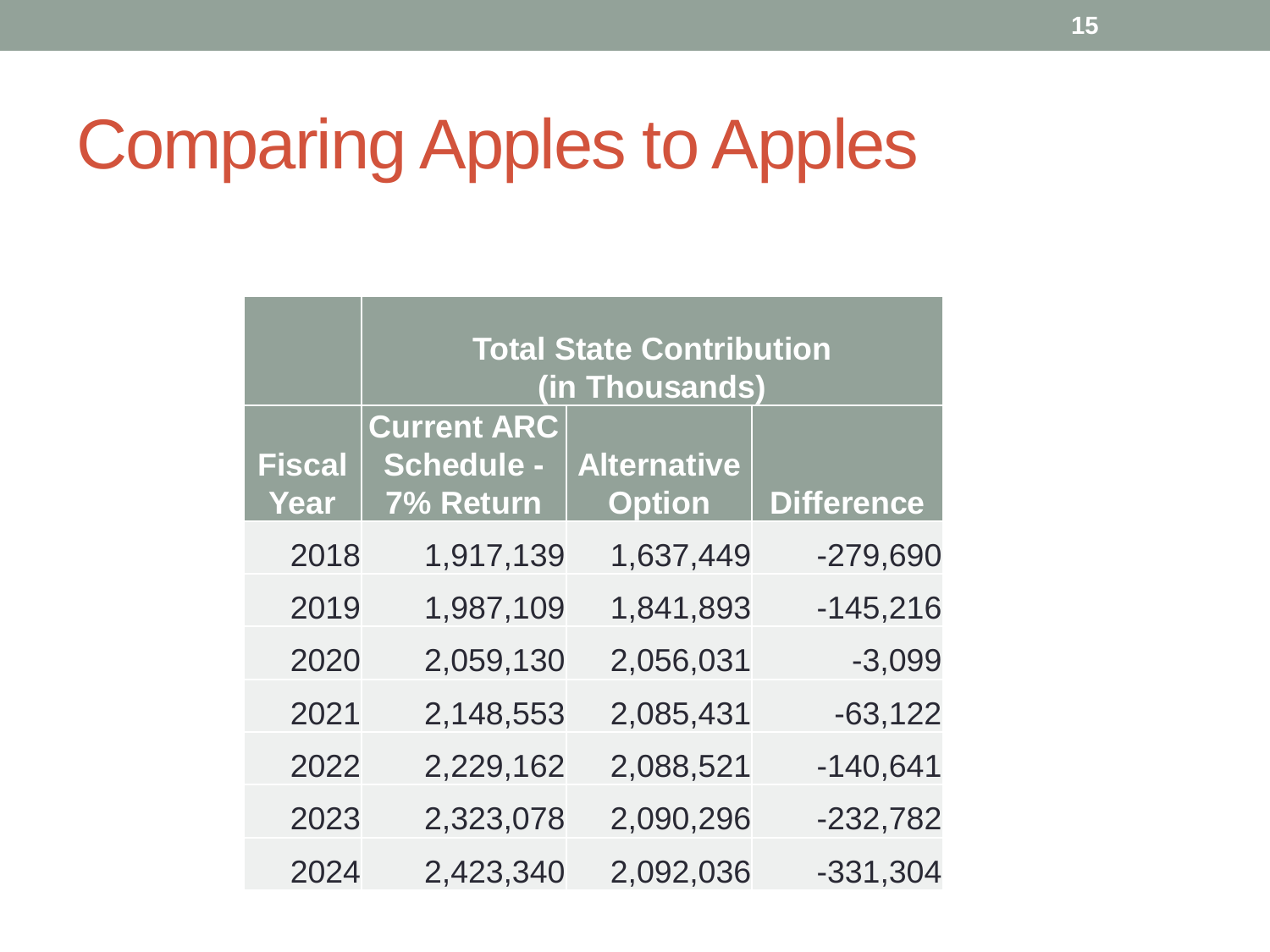## Comparing Apples to Apples

|               | <b>Total State Contribution</b> |                    |                   |  |  |
|---------------|---------------------------------|--------------------|-------------------|--|--|
|               | (in Thousands)                  |                    |                   |  |  |
|               | <b>Current ARC</b>              |                    |                   |  |  |
| <b>Fiscal</b> | <b>Schedule -</b>               | <b>Alternative</b> |                   |  |  |
| Year          | 7% Return                       | <b>Option</b>      | <b>Difference</b> |  |  |
| 2018          | 1,917,139                       | 1,637,449          | $-279,690$        |  |  |
| 2019          | 1,987,109                       | 1,841,893          | $-145,216$        |  |  |
| 2020          | 2,059,130                       | 2,056,031          | $-3,099$          |  |  |
| 2021          | 2,148,553                       | 2,085,431          | $-63,122$         |  |  |
| 2022          | 2,229,162                       | 2,088,521          | $-140,641$        |  |  |
| 2023          | 2,323,078                       | 2,090,296          | $-232,782$        |  |  |
| 2024          | 2,423,340                       | 2,092,036          | $-331,304$        |  |  |